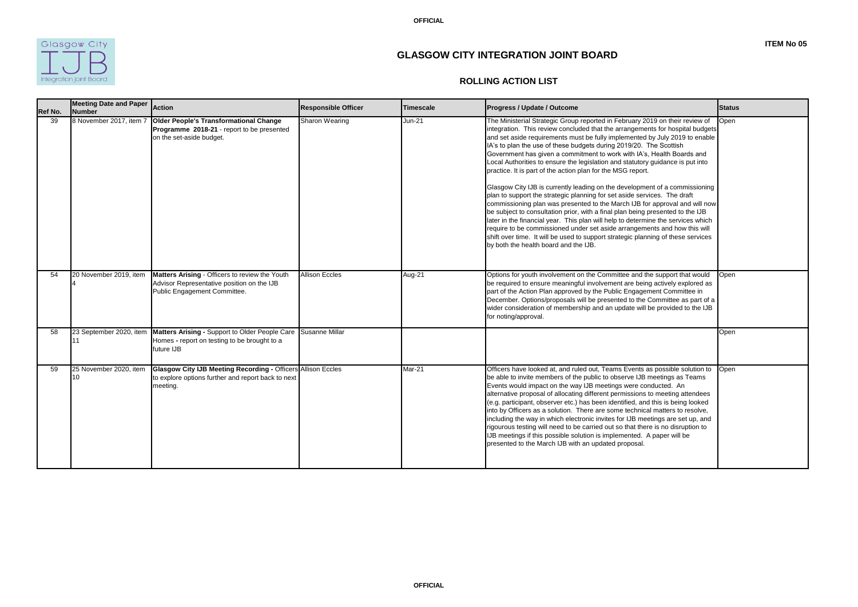**OFFICIAL**



| <b>Ref No.</b> | <b>Meeting Date and Paper</b><br><b>Number</b> | Action                                                                                                                                              | <b>Responsible Officer</b> | <b>Timescale</b> | <b>Progress / Update / Outcome</b>                                                                                                                                                                                                                                                                                                                                                                                                                                                                                                                                                                                                                                                                                                                                                                                                                                                                                                                                                                                                                                                                                                                                      | <b>Status</b> |
|----------------|------------------------------------------------|-----------------------------------------------------------------------------------------------------------------------------------------------------|----------------------------|------------------|-------------------------------------------------------------------------------------------------------------------------------------------------------------------------------------------------------------------------------------------------------------------------------------------------------------------------------------------------------------------------------------------------------------------------------------------------------------------------------------------------------------------------------------------------------------------------------------------------------------------------------------------------------------------------------------------------------------------------------------------------------------------------------------------------------------------------------------------------------------------------------------------------------------------------------------------------------------------------------------------------------------------------------------------------------------------------------------------------------------------------------------------------------------------------|---------------|
| 39             | 8 November 2017, item 7                        | <b>Older People's Transformational Change</b><br><b>Programme 2018-21</b> - report to be presented<br>on the set-aside budget.                      | <b>Sharon Wearing</b>      | <b>Jun-21</b>    | The Ministerial Strategic Group reported in February 2019 on their review of<br>integration. This review concluded that the arrangements for hospital budgets<br>and set aside requirements must be fully implemented by July 2019 to enable<br>IA's to plan the use of these budgets during 2019/20. The Scottish<br>Government has given a commitment to work with IA's, Health Boards and<br>Local Authorities to ensure the legislation and statutory guidance is put into<br>practice. It is part of the action plan for the MSG report.<br>Glasgow City IJB is currently leading on the development of a commissioning<br>plan to support the strategic planning for set aside services. The draft<br>commissioning plan was presented to the March IJB for approval and will now<br>be subject to consultation prior, with a final plan being presented to the IJB<br>later in the financial year. This plan will help to determine the services which<br>require to be commissioned under set aside arrangements and how this will<br>shift over time. It will be used to support strategic planning of these services<br>by both the health board and the IJB. | Open          |
| 54             | 20 November 2019, item                         | Matters Arising - Officers to review the Youth<br>Advisor Representative position on the IJB<br>Public Engagement Committee.                        | <b>Allison Eccles</b>      | Aug-21           | Options for youth involvement on the Committee and the support that would<br>be required to ensure meaningful involvement are being actively explored as<br>part of the Action Plan approved by the Public Engagement Committee in<br>December. Options/proposals will be presented to the Committee as part of a<br>wider consideration of membership and an update will be provided to the IJB<br>for noting/approval.                                                                                                                                                                                                                                                                                                                                                                                                                                                                                                                                                                                                                                                                                                                                                | Open          |
| 58             |                                                | 23 September 2020, item Matters Arising - Support to Older People Care Susanne Millar<br>Homes - report on testing to be brought to a<br>future IJB |                            |                  |                                                                                                                                                                                                                                                                                                                                                                                                                                                                                                                                                                                                                                                                                                                                                                                                                                                                                                                                                                                                                                                                                                                                                                         | Open          |
| 59             | 25 November 2020, item<br>10                   | <b>Glasgow City IJB Meeting Recording - Officers Allison Eccles</b><br>to explore options further and report back to next<br>meeting.               |                            | Mar-21           | Officers have looked at, and ruled out, Teams Events as possible solution to<br>be able to invite members of the public to observe IJB meetings as Teams<br>Events would impact on the way IJB meetings were conducted. An<br>alternative proposal of allocating different permissions to meeting attendees<br>(e.g. participant, observer etc.) has been identified, and this is being looked<br>into by Officers as a solution. There are some technical matters to resolve,<br>including the way in which electronic invites for IJB meetings are set up, and<br>rigourous testing will need to be carried out so that there is no disruption to<br>IJB meetings if this possible solution is implemented. A paper will be<br>presented to the March IJB with an updated proposal.                                                                                                                                                                                                                                                                                                                                                                                   | <b>Open</b>   |

## **ROLLING ACTION LIST**

## **GLASGOW CITY INTEGRATION JOINT BOARD**